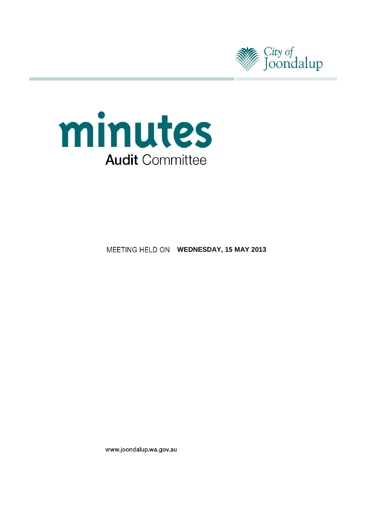



**MEETING HELD ON WEDNESDAY, 15 MAY 2013** 

www.joondalup.wa.gov.au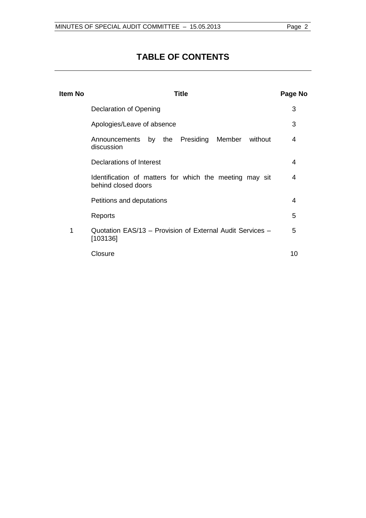# **TABLE OF CONTENTS**

| Item No | <b>Title</b>                                                                   | Page No |
|---------|--------------------------------------------------------------------------------|---------|
|         | Declaration of Opening                                                         | 3       |
|         | Apologies/Leave of absence                                                     | 3       |
|         | Announcements by the Presiding<br>Member<br>without<br>discussion              | 4       |
|         | Declarations of Interest                                                       | 4       |
|         | Identification of matters for which the meeting may sit<br>behind closed doors | 4       |
|         | Petitions and deputations                                                      | 4       |
|         | Reports                                                                        | 5       |
| 1       | Quotation EAS/13 - Provision of External Audit Services -<br>[103136]          | 5       |
|         | Closure                                                                        | 10      |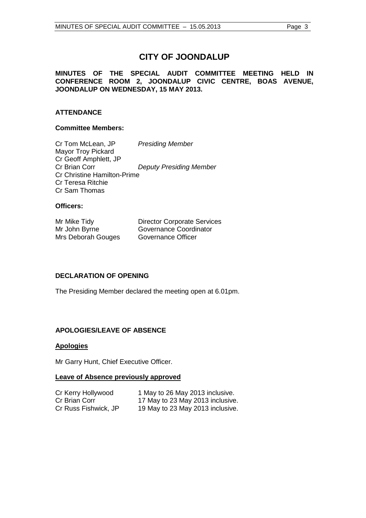# **CITY OF JOONDALUP**

#### **MINUTES OF THE SPECIAL AUDIT COMMITTEE MEETING HELD IN CONFERENCE ROOM 2, JOONDALUP CIVIC CENTRE, BOAS AVENUE, JOONDALUP ON WEDNESDAY, 15 MAY 2013.**

### **ATTENDANCE**

#### **Committee Members:**

Cr Tom McLean, JP *Presiding Member* Mayor Troy Pickard Cr Geoff Amphlett, JP **Deputy Presiding Member** Cr Christine Hamilton-Prime Cr Teresa Ritchie Cr Sam Thomas

#### **Officers:**

| Mr Mike Tidy       | <b>Director Corporate Services</b> |
|--------------------|------------------------------------|
| Mr John Byrne      | Governance Coordinator             |
| Mrs Deborah Gouges | Governance Officer                 |

#### <span id="page-2-0"></span>**DECLARATION OF OPENING**

The Presiding Member declared the meeting open at 6.01pm.

#### <span id="page-2-1"></span>**APOLOGIES/LEAVE OF ABSENCE**

#### **Apologies**

Mr Garry Hunt, Chief Executive Officer.

#### **Leave of Absence previously approved**

| Cr Kerry Hollywood   | 1 May to 26 May 2013 inclusive.  |
|----------------------|----------------------------------|
| Cr Brian Corr        | 17 May to 23 May 2013 inclusive. |
| Cr Russ Fishwick, JP | 19 May to 23 May 2013 inclusive. |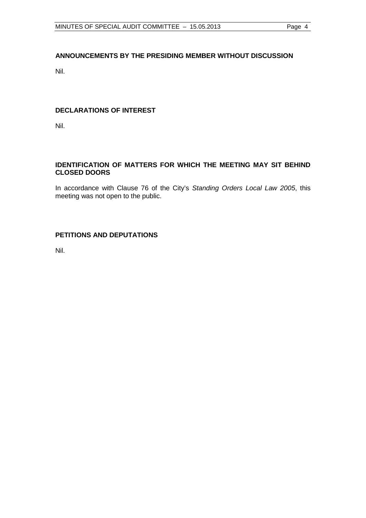# <span id="page-3-0"></span>**ANNOUNCEMENTS BY THE PRESIDING MEMBER WITHOUT DISCUSSION**

Nil.

## <span id="page-3-1"></span>**DECLARATIONS OF INTEREST**

Nil.

## <span id="page-3-2"></span>**IDENTIFICATION OF MATTERS FOR WHICH THE MEETING MAY SIT BEHIND CLOSED DOORS**

In accordance with Clause 76 of the City's *Standing Orders Local Law 2005*, this meeting was not open to the public.

## <span id="page-3-3"></span>**PETITIONS AND DEPUTATIONS**

Nil.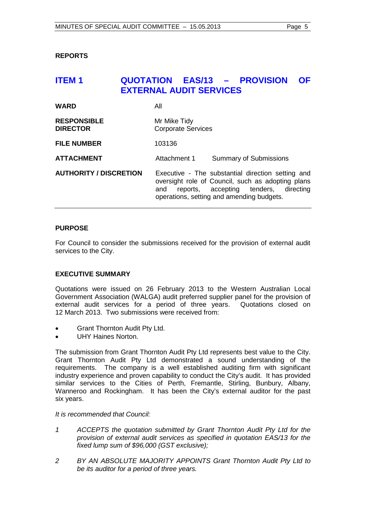<span id="page-4-0"></span>**REPORTS**

# <span id="page-4-1"></span>**ITEM 1 QUOTATION EAS/13 – PROVISION OF EXTERNAL AUDIT SERVICES**

| <b>WARD</b>                           | All                                                                                                                                                                                                 |  |
|---------------------------------------|-----------------------------------------------------------------------------------------------------------------------------------------------------------------------------------------------------|--|
| <b>RESPONSIBLE</b><br><b>DIRECTOR</b> | Mr Mike Tidy<br><b>Corporate Services</b>                                                                                                                                                           |  |
| <b>FILE NUMBER</b>                    | 103136                                                                                                                                                                                              |  |
| <b>ATTACHMENT</b>                     | Attachment 1<br><b>Summary of Submissions</b>                                                                                                                                                       |  |
| <b>AUTHORITY / DISCRETION</b>         | Executive - The substantial direction setting and<br>oversight role of Council, such as adopting plans<br>reports, accepting tenders, directing<br>and<br>operations, setting and amending budgets. |  |

#### **PURPOSE**

For Council to consider the submissions received for the provision of external audit services to the City.

#### **EXECUTIVE SUMMARY**

Quotations were issued on 26 February 2013 to the Western Australian Local Government Association (WALGA) audit preferred supplier panel for the provision of external audit services for a period of three years. Quotations closed on 12 March 2013. Two submissions were received from:

- Grant Thornton Audit Pty Ltd.
- UHY Haines Norton.

The submission from Grant Thornton Audit Pty Ltd represents best value to the City. Grant Thornton Audit Pty Ltd demonstrated a sound understanding of the requirements. The company is a well established auditing firm with significant industry experience and proven capability to conduct the City's audit. It has provided similar services to the Cities of Perth, Fremantle, Stirling, Bunbury, Albany, Wanneroo and Rockingham. It has been the City's external auditor for the past six years.

*It is recommended that Council:*

- *1 ACCEPTS the quotation submitted by Grant Thornton Audit Pty Ltd for the provision of external audit services as specified in quotation EAS/13 for the fixed lump sum of \$96,000 (GST exclusive);*
- *2 BY AN ABSOLUTE MAJORITY APPOINTS Grant Thornton Audit Pty Ltd to be its auditor for a period of three years.*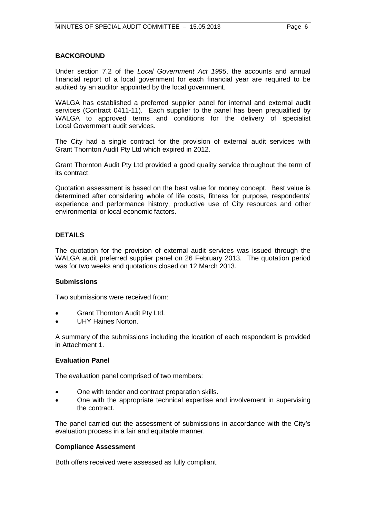#### **BACKGROUND**

Under section 7.2 of the *Local Government Act 1995*, the accounts and annual financial report of a local government for each financial year are required to be audited by an auditor appointed by the local government.

WALGA has established a preferred supplier panel for internal and external audit services (Contract 0411-11). Each supplier to the panel has been prequalified by WALGA to approved terms and conditions for the delivery of specialist Local Government audit services.

The City had a single contract for the provision of external audit services with Grant Thornton Audit Pty Ltd which expired in 2012.

Grant Thornton Audit Pty Ltd provided a good quality service throughout the term of its contract.

Quotation assessment is based on the best value for money concept. Best value is determined after considering whole of life costs, fitness for purpose, respondents' experience and performance history, productive use of City resources and other environmental or local economic factors.

#### **DETAILS**

The quotation for the provision of external audit services was issued through the WALGA audit preferred supplier panel on 26 February 2013. The quotation period was for two weeks and quotations closed on 12 March 2013.

#### **Submissions**

Two submissions were received from:

- Grant Thornton Audit Pty Ltd.
- UHY Haines Norton.

A summary of the submissions including the location of each respondent is provided in Attachment 1.

#### **Evaluation Panel**

The evaluation panel comprised of two members:

- One with tender and contract preparation skills.
- One with the appropriate technical expertise and involvement in supervising the contract.

The panel carried out the assessment of submissions in accordance with the City's evaluation process in a fair and equitable manner.

#### **Compliance Assessment**

Both offers received were assessed as fully compliant.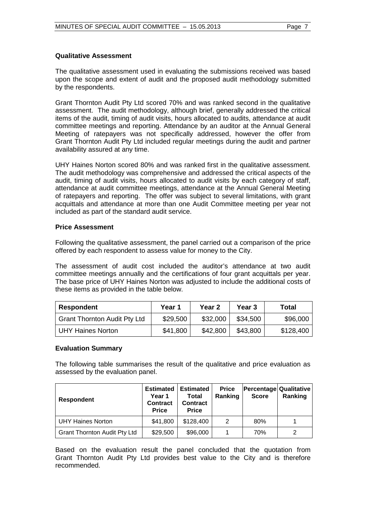#### **Qualitative Assessment**

The qualitative assessment used in evaluating the submissions received was based upon the scope and extent of audit and the proposed audit methodology submitted by the respondents.

Grant Thornton Audit Pty Ltd scored 70% and was ranked second in the qualitative assessment. The audit methodology, although brief, generally addressed the critical items of the audit, timing of audit visits, hours allocated to audits, attendance at audit committee meetings and reporting. Attendance by an auditor at the Annual General Meeting of ratepayers was not specifically addressed, however the offer from Grant Thornton Audit Pty Ltd included regular meetings during the audit and partner availability assured at any time.

UHY Haines Norton scored 80% and was ranked first in the qualitative assessment. The audit methodology was comprehensive and addressed the critical aspects of the audit, timing of audit visits, hours allocated to audit visits by each category of staff, attendance at audit committee meetings, attendance at the Annual General Meeting of ratepayers and reporting. The offer was subject to several limitations, with grant acquittals and attendance at more than one Audit Committee meeting per year not included as part of the standard audit service.

#### **Price Assessment**

Following the qualitative assessment, the panel carried out a comparison of the price offered by each respondent to assess value for money to the City.

The assessment of audit cost included the auditor's attendance at two audit committee meetings annually and the certifications of four grant acquittals per year. The base price of UHY Haines Norton was adjusted to include the additional costs of these items as provided in the table below.

| <b>Respondent</b>                   | Year 1   | Year 2   | Year 3   | Total     |
|-------------------------------------|----------|----------|----------|-----------|
| <b>Grant Thornton Audit Pty Ltd</b> | \$29,500 | \$32,000 | \$34,500 | \$96,000  |
| <b>UHY Haines Norton</b>            | \$41,800 | \$42,800 | \$43,800 | \$128,400 |

#### **Evaluation Summary**

The following table summarises the result of the qualitative and price evaluation as assessed by the evaluation panel.

| <b>Respondent</b>                   | <b>Estimated</b><br>Year 1<br><b>Contract</b><br><b>Price</b> | <b>Estimated</b><br>Total<br><b>Contract</b><br><b>Price</b> | <b>Price</b><br>Ranking | Percentage Qualitative<br><b>Score</b> | Ranking |
|-------------------------------------|---------------------------------------------------------------|--------------------------------------------------------------|-------------------------|----------------------------------------|---------|
| <b>UHY Haines Norton</b>            | \$41,800                                                      | \$128,400                                                    | 2                       | 80%                                    |         |
| <b>Grant Thornton Audit Pty Ltd</b> | \$29,500                                                      | \$96,000                                                     | 1                       | 70%                                    | 2       |

Based on the evaluation result the panel concluded that the quotation from Grant Thornton Audit Pty Ltd provides best value to the City and is therefore recommended.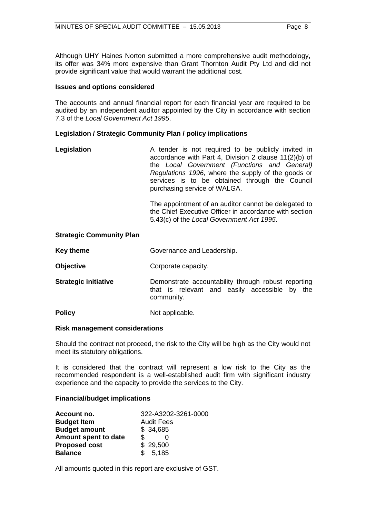Although UHY Haines Norton submitted a more comprehensive audit methodology, its offer was 34% more expensive than Grant Thornton Audit Pty Ltd and did not provide significant value that would warrant the additional cost.

#### **Issues and options considered**

The accounts and annual financial report for each financial year are required to be audited by an independent auditor appointed by the City in accordance with section 7.3 of the *Local Government Act 1995*.

#### **Legislation / Strategic Community Plan / policy implications**

| Legislation | A tender is not required to be publicly invited in<br>accordance with Part 4, Division 2 clause 11(2)(b) of<br>the Local Government (Functions and General)<br>Regulations 1996, where the supply of the goods or<br>services is to be obtained through the Council<br>purchasing service of WALGA. |
|-------------|-----------------------------------------------------------------------------------------------------------------------------------------------------------------------------------------------------------------------------------------------------------------------------------------------------|
|             |                                                                                                                                                                                                                                                                                                     |

The appointment of an auditor cannot be delegated to the Chief Executive Officer in accordance with section 5.43(c) of the *Local Government Act 1995*.

#### **Strategic Community Plan**

| <b>Key theme</b> | Governance and Leadership. |
|------------------|----------------------------|
|------------------|----------------------------|

- **Objective Corporate capacity.**
- **Strategic initiative Demonstrate accountability through robust reporting** that is relevant and easily accessible by the community.
- **Policy** Not applicable.

#### **Risk management considerations**

Should the contract not proceed, the risk to the City will be high as the City would not meet its statutory obligations.

It is considered that the contract will represent a low risk to the City as the recommended respondent is a well-established audit firm with significant industry experience and the capacity to provide the services to the City.

#### **Financial/budget implications**

| Account no.          | 322-A3202-3261-0000 |
|----------------------|---------------------|
| <b>Budget Item</b>   | <b>Audit Fees</b>   |
| <b>Budget amount</b> | \$34,685            |
| Amount spent to date | \$                  |
| <b>Proposed cost</b> | \$29,500            |
| <b>Balance</b>       | \$5,185             |

All amounts quoted in this report are exclusive of GST.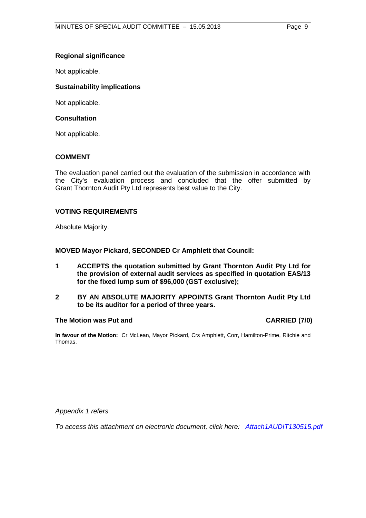#### **Regional significance**

Not applicable.

#### **Sustainability implications**

Not applicable.

#### **Consultation**

Not applicable.

#### **COMMENT**

The evaluation panel carried out the evaluation of the submission in accordance with the City's evaluation process and concluded that the offer submitted by Grant Thornton Audit Pty Ltd represents best value to the City.

#### **VOTING REQUIREMENTS**

Absolute Majority.

**MOVED Mayor Pickard, SECONDED Cr Amphlett that Council:**

- **1 ACCEPTS the quotation submitted by Grant Thornton Audit Pty Ltd for the provision of external audit services as specified in quotation EAS/13 for the fixed lump sum of \$96,000 (GST exclusive);**
- **2 BY AN ABSOLUTE MAJORITY APPOINTS Grant Thornton Audit Pty Ltd to be its auditor for a period of three years.**

#### **The Motion was Put and CARRIED (7/0)**

**In favour of the Motion:** Cr McLean, Mayor Pickard, Crs Amphlett, Corr, Hamilton-Prime, Ritchie and Thomas.

*Appendix 1 refers*

*To access this attachment on electronic document, click her[e: Attach1AUDIT130515.pdf](http://www.joondalup.wa.gov.au/files/committees/AUDT/2013/Attach1AUDIT130515.pdf)*